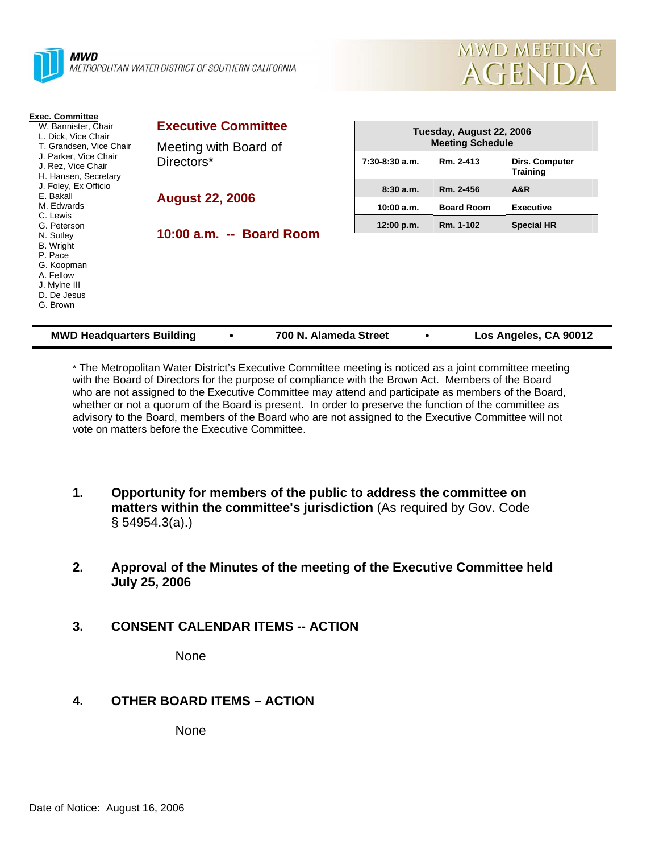

| <b>Exec. Committee</b><br>W. Bannister, Chair<br>L. Dick, Vice Chair                                    | <b>Executive Committee</b> | Tuesday, August 22, 2006<br><b>Meeting Schedule</b> |                   |                                   |
|---------------------------------------------------------------------------------------------------------|----------------------------|-----------------------------------------------------|-------------------|-----------------------------------|
| T. Grandsen, Vice Chair                                                                                 | Meeting with Board of      |                                                     |                   |                                   |
| J. Parker, Vice Chair<br>J. Rez, Vice Chair<br>H. Hansen, Secretary                                     | Directors*                 | $7:30-8:30$ a.m.                                    | Rm. 2-413         | Dirs. Computer<br><b>Training</b> |
| J. Foley, Ex Officio                                                                                    |                            | 8:30a.m.                                            | Rm. 2-456         | A&R                               |
| E. Bakall<br>M. Edwards<br>C. Lewis                                                                     | <b>August 22, 2006</b>     | 10:00 a.m.                                          | <b>Board Room</b> | <b>Executive</b>                  |
| G. Peterson                                                                                             |                            | 12:00 p.m.                                          | Rm. 1-102         | <b>Special HR</b>                 |
| N. Sutley<br>B. Wright<br>P. Pace<br>G. Koopman<br>A. Fellow<br>J. Mylne III<br>D. De Jesus<br>G. Brown | 10:00 a.m. -- Board Room   |                                                     |                   |                                   |
| <b>MWD Headquarters Building</b>                                                                        | 700 N. Alameda Street      |                                                     |                   | Los Angeles, CA 90012             |

\* The Metropolitan Water District's Executive Committee meeting is noticed as a joint committee meeting with the Board of Directors for the purpose of compliance with the Brown Act. Members of the Board who are not assigned to the Executive Committee may attend and participate as members of the Board, whether or not a quorum of the Board is present. In order to preserve the function of the committee as advisory to the Board, members of the Board who are not assigned to the Executive Committee will not vote on matters before the Executive Committee.

- **1. Opportunity for members of the public to address the committee on matters within the committee's jurisdiction** (As required by Gov. Code § 54954.3(a).)
- **2. Approval of the Minutes of the meeting of the Executive Committee held July 25, 2006**
- **3. CONSENT CALENDAR ITEMS -- ACTION**

None

**4. OTHER BOARD ITEMS – ACTION** 

None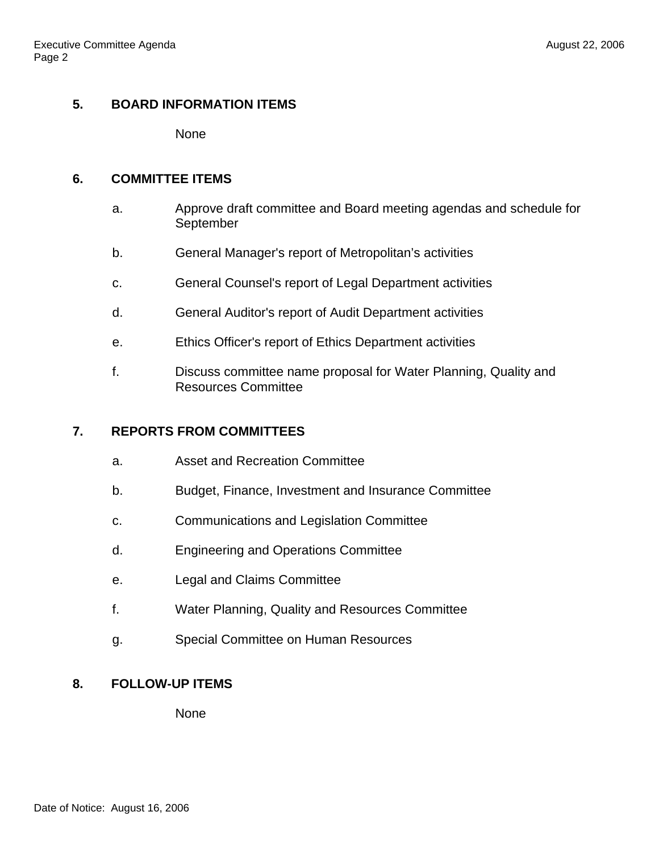## **5. BOARD INFORMATION ITEMS**

None

### **6. COMMITTEE ITEMS**

- a. Approve draft committee and Board meeting agendas and schedule for September
- b. General Manager's report of Metropolitan's activities
- c. General Counsel's report of Legal Department activities
- d. General Auditor's report of Audit Department activities
- e. Ethics Officer's report of Ethics Department activities
- f. Discuss committee name proposal for Water Planning, Quality and Resources Committee

#### **7. REPORTS FROM COMMITTEES**

- a. Asset and Recreation Committee
- b. Budget, Finance, Investment and Insurance Committee
- c. Communications and Legislation Committee
- d. Engineering and Operations Committee
- e. Legal and Claims Committee
- f. Water Planning, Quality and Resources Committee
- g. Special Committee on Human Resources

### **8. FOLLOW-UP ITEMS**

None